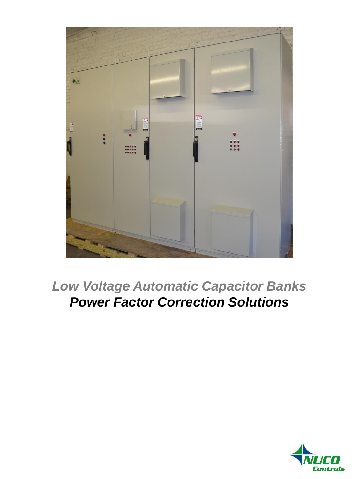

*Low Voltage Automatic Capacitor Banks Power Factor Correction Solutions*

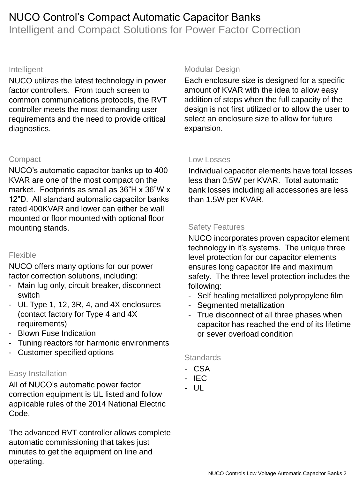# NUCO Control's Compact Automatic Capacitor Banks Intelligent and Compact Solutions for Power Factor Correction

#### Intelligent

NUCO utilizes the latest technology in power factor controllers. From touch screen to common communications protocols, the RVT controller meets the most demanding user requirements and the need to provide critical diagnostics.

## **Compact**

NUCO's automatic capacitor banks up to 400 KVAR are one of the most compact on the market. Footprints as small as 36"H x 36"W x 12"D. All standard automatic capacitor banks rated 400KVAR and lower can either be wall mounted or floor mounted with optional floor mounting stands.

## Flexible

NUCO offers many options for our power factor correction solutions, including:

- Main lug only, circuit breaker, disconnect switch
- UL Type 1, 12, 3R, 4, and 4X enclosures (contact factory for Type 4 and 4X requirements)
- Blown Fuse Indication
- Tuning reactors for harmonic environments
- Customer specified options

## Easy Installation

All of NUCO's automatic power factor correction equipment is UL listed and follow applicable rules of the 2014 National Electric Code.

The advanced RVT controller allows complete automatic commissioning that takes just minutes to get the equipment on line and operating.

#### Modular Design

Each enclosure size is designed for a specific amount of KVAR with the idea to allow easy addition of steps when the full capacity of the design is not first utilized or to allow the user to select an enclosure size to allow for future expansion.

#### Low Losses

Individual capacitor elements have total losses less than 0.5W per KVAR. Total automatic bank losses including all accessories are less than 1.5W per KVAR.

## Safety Features

NUCO incorporates proven capacitor element technology in it's systems. The unique three level protection for our capacitor elements ensures long capacitor life and maximum safety. The three level protection includes the following:

- Self healing metallized polypropylene film
- Segmented metallization
- True disconnect of all three phases when capacitor has reached the end of its lifetime or sever overload condition

#### **Standards**

- CSA
- IEC
- UL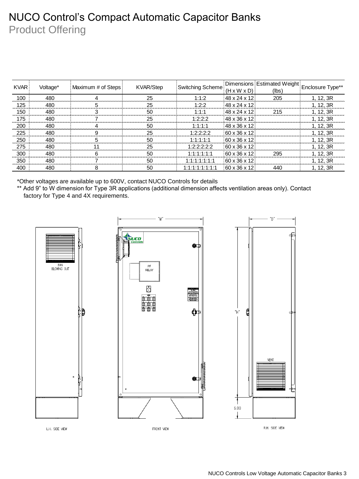# NUCO Control's Compact Automatic Capacitor Banks Product Offering

| <b>KVAR</b> | Voltage* | Maximum # of Steps { | <b>KVAR/Step</b> | Switching Scheme  | $(H \times W \times D)$  | Dimensions Estimated Weight Enclosure Type**<br>(lbs) |           |
|-------------|----------|----------------------|------------------|-------------------|--------------------------|-------------------------------------------------------|-----------|
| 100         | 480      |                      | 25               | 1:1:2             | 48 x 24 x 12             | 205                                                   | 1, 12, 3R |
| 125         | 480      |                      | 25               | 1:2:2             | 48 x 24 x 12             |                                                       | 1, 12, 3R |
| 150         | 480      |                      | 50               | 1:1:1             | 48 x 24 x 12             | 215                                                   | 1.12.3R   |
| 175         | 480      |                      | 25               | 1:2:2:2           | 148 x 36 x 12            |                                                       | 1, 12, 3R |
| 200         | 480      |                      | 50               | 1:1:1:1           | 48 x 36 x 12             |                                                       | 1.12.3R   |
| 225         | 480      |                      | 25               | 1:2:2:2:2         | $60 \times 36 \times 12$ |                                                       | 1.12.3R   |
| 250         | 480      |                      | 50               | 1:1:1:1:1         | 60 x 36 x 12             |                                                       | 1.12.3R   |
| 275         | 480      |                      | 25               | 1:2:2:2:2:2       | 60 x 36 x 12             |                                                       | 1, 12, 3R |
| 300         | 480      |                      | 50               | 1:1:1:1:1:1       | $60 \times 36 \times 12$ | 295                                                   | 1.12.3R   |
| 350         | 480      |                      | 50               | 1:1:1:1:1:1:1     | $60 \times 36 \times 12$ |                                                       | 1.12.3R   |
| 400         | 480      |                      | 50               | 1:1:1:1:1:1:1:1:1 | $60 \times 36 \times 12$ | 440                                                   | 1.12.3R   |

\*Other voltages are available up to 600V, contact NUCO Controls for details

\*\* Add 9" to W dimension for Type 3R applications (additional dimension affects ventilation areas only). Contact factory for Type 4 and 4X requirements.

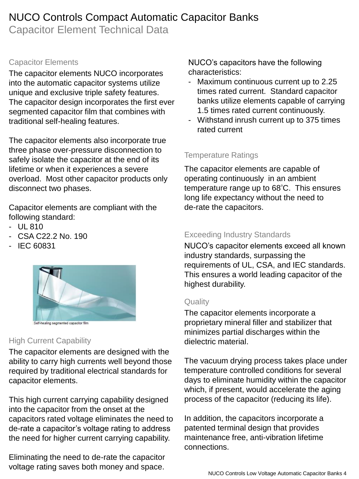# NUCO Controls Compact Automatic Capacitor Banks

Capacitor Element Technical Data

# Capacitor Elements

The capacitor elements NUCO incorporates into the automatic capacitor systems utilize unique and exclusive triple safety features. The capacitor design incorporates the first ever segmented capacitor film that combines with traditional self-healing features.

The capacitor elements also incorporate true three phase over-pressure disconnection to safely isolate the capacitor at the end of its lifetime or when it experiences a severe overload. Most other capacitor products only disconnect two phases.

Capacitor elements are compliant with the following standard:

- UL 810
- CSA C22.2 No. 190
- IEC 60831



# High Current Capability

The capacitor elements are designed with the ability to carry high currents well beyond those required by traditional electrical standards for capacitor elements.

This high current carrying capability designed into the capacitor from the onset at the capacitors rated voltage eliminates the need to de-rate a capacitor's voltage rating to address the need for higher current carrying capability.

Eliminating the need to de-rate the capacitor voltage rating saves both money and space.

NUCO's capacitors have the following characteristics:

- Maximum continuous current up to 2.25 times rated current. Standard capacitor banks utilize elements capable of carrying 1.5 times rated current continuously.
- Withstand inrush current up to 375 times rated current

# Temperature Ratings

The capacitor elements are capable of operating continuously in an ambient temperature range up to  $68^{\circ}$ C. This ensures long life expectancy without the need to de-rate the capacitors.

# Exceeding Industry Standards

NUCO's capacitor elements exceed all known industry standards, surpassing the requirements of UL, CSA, and IEC standards. This ensures a world leading capacitor of the highest durability.

# **Quality**

The capacitor elements incorporate a proprietary mineral filler and stabilizer that minimizes partial discharges within the dielectric material.

The vacuum drying process takes place under temperature controlled conditions for several days to eliminate humidity within the capacitor which, if present, would accelerate the aging process of the capacitor (reducing its life).

In addition, the capacitors incorporate a patented terminal design that provides maintenance free, anti-vibration lifetime connections.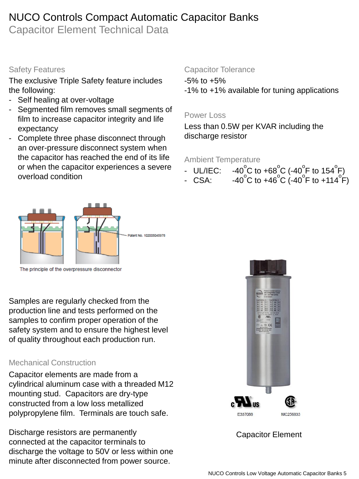# NUCO Controls Compact Automatic Capacitor Banks

Capacitor Element Technical Data

## Safety Features

The exclusive Triple Safety feature includes the following:

- Self healing at over-voltage
- Segmented film removes small segments of film to increase capacitor integrity and life expectancy
- Complete three phase disconnect through an over-pressure disconnect system when the capacitor has reached the end of its life or when the capacitor experiences a severe overload condition

## Capacitor Tolerance

-5% to +5%

-1% to +1% available for tuning applications

### Power Loss

Less than 0.5W per KVAR including the discharge resistor

#### Ambient Temperature

- $-$  UL/IEC: C to +68 $^{\circ}$ C (-40 $^{\circ}$ F to 154 $^{\circ}$ F)
- CSA: C to +46<sup>°</sup>C (-40<sup>°</sup>F to +114<sup>°</sup>F)



The principle of the overpressure disconnector

Samples are regularly checked from the production line and tests performed on the samples to confirm proper operation of the safety system and to ensure the highest level of quality throughout each production run.

## Mechanical Construction

Capacitor elements are made from a cylindrical aluminum case with a threaded M12 mounting stud. Capacitors are dry-type constructed from a low loss metallized polypropylene film. Terminals are touch safe.

Discharge resistors are permanently connected at the capacitor terminals to discharge the voltage to 50V or less within one minute after disconnected from power source.



Capacitor Element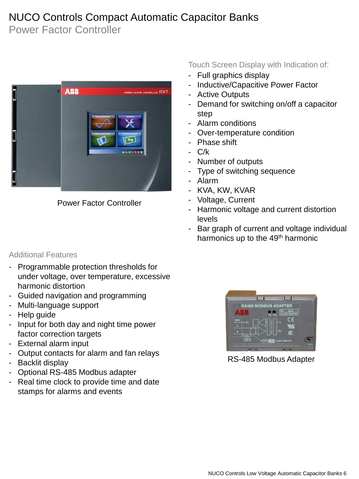# NUCO Controls Compact Automatic Capacitor Banks

Power Factor Controller



Power Factor Controller

## Additional Features

- Programmable protection thresholds for under voltage, over temperature, excessive harmonic distortion
- Guided navigation and programming
- Multi-language support
- Help quide
- Input for both day and night time power factor correction targets
- External alarm input
- Output contacts for alarm and fan relays
- Backlit display
- Optional RS-485 Modbus adapter
- Real time clock to provide time and date stamps for alarms and events

Touch Screen Display with Indication of:

- Full graphics display
- Inductive/Capacitive Power Factor
- Active Outputs
- Demand for switching on/off a capacitor step
- Alarm conditions
- Over-temperature condition
- Phase shift
- C/k
- Number of outputs
- Type of switching sequence
- Alarm
- KVA, KW, KVAR
- Voltage, Current
- Harmonic voltage and current distortion levels
- Bar graph of current and voltage individual harmonics up to the 49<sup>th</sup> harmonic



RS-485 Modbus Adapter